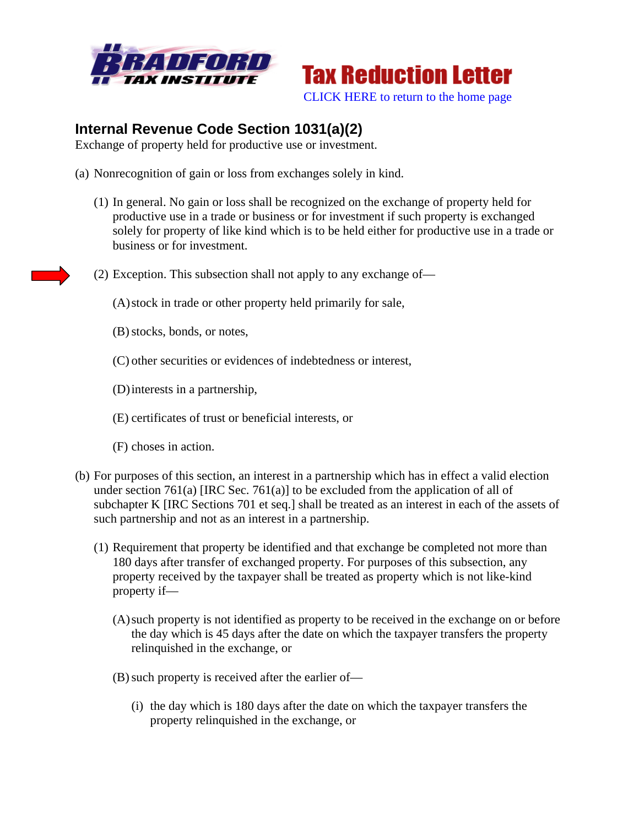



## **Internal Revenue Code Section 1031(a)(2)**

Exchange of property held for productive use or investment.

- (a) Nonrecognition of gain or loss from exchanges solely in kind.
	- (1) In general. No gain or loss shall be recognized on the exchange of property held for productive use in a trade or business or for investment if such property is exchanged solely for property of like kind which is to be held either for productive use in a trade or business or for investment.
	- (2) Exception. This subsection shall not apply to any exchange of—

(A)stock in trade or other property held primarily for sale,

- (B)stocks, bonds, or notes,
- (C) other securities or evidences of indebtedness or interest,
- (D)interests in a partnership,
- (E) certificates of trust or beneficial interests, or
- (F) choses in action.
- (b) For purposes of this section, an interest in a partnership which has in effect a valid election under section 761(a) [IRC Sec. 761(a)] to be excluded from the application of all of subchapter K [IRC Sections 701 et seq.] shall be treated as an interest in each of the assets of such partnership and not as an interest in a partnership.
	- (1) Requirement that property be identified and that exchange be completed not more than 180 days after transfer of exchanged property. For purposes of this subsection, any property received by the taxpayer shall be treated as property which is not like-kind property if—
		- (A)such property is not identified as property to be received in the exchange on or before the day which is 45 days after the date on which the taxpayer transfers the property relinquished in the exchange, or
		- (B) such property is received after the earlier of—
			- (i) the day which is 180 days after the date on which the taxpayer transfers the property relinquished in the exchange, or